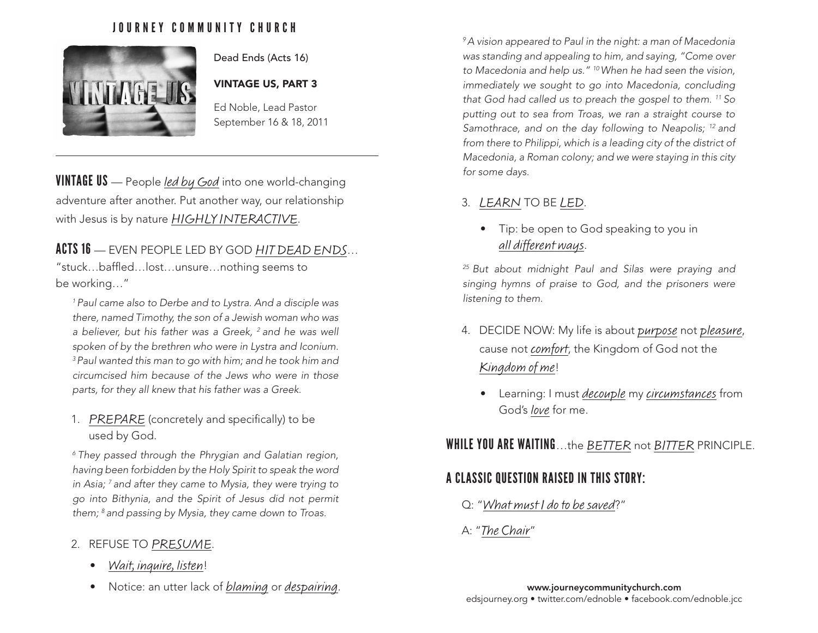## JOURNEY COMMUNITY CHURCH



Dead Ends (Acts 16)

#### VINTAGE US, PART 3

Ed Noble, Lead Pastor September 16 & 18, 2011

VINTAGE US - People led by God into one world-changing adventure after another. Put another way, our relationship with Jesus is by nature HIGHLY INTERACTIVE.

# ACTS 16 — EVEN PEOPLE LED BY GOD HIT DEAD ENDS…

"stuck…baffled…lost…unsure…nothing seems to be working…"

*1 Paul came also to Derbe and to Lystra. And a disciple was there, named Timothy, the son of a Jewish woman who was a believer, but his father was a Greek, 2 and he was well spoken of by the brethren who were in Lystra and Iconium. 3 Paul wanted this man to go with him; and he took him and circumcised him because of the Jews who were in those parts, for they all knew that his father was a Greek.* 

1. PREPARE (concretely and specifically) to be used by God.

*6 They passed through the Phrygian and Galatian region, having been forbidden by the Holy Spirit to speak the word in Asia; 7 and after they came to Mysia, they were trying to go into Bithynia, and the Spirit of Jesus did not permit them; 8 and passing by Mysia, they came down to Troas.* 

### 2. REFUSE TO PRESUME.

- Wait, inquire, listen!
- Notice: an utter lack of *blaming* or *despairing*. www.journeycommunitychurch.com

*9 A vision appeared to Paul in the night: a man of Macedonia was standing and appealing to him, and saying, "Come over to Macedonia and help us." 10 When he had seen the vision, immediately we sought to go into Macedonia, concluding that God had called us to preach the gospel to them. 11 So putting out to sea from Troas, we ran a straight course to Samothrace, and on the day following to Neapolis; 12 and from there to Philippi, which is a leading city of the district of Macedonia, a Roman colony; and we were staying in this city for some days.*

### 3. LEARN TO BE LED.

• Tip: be open to God speaking to you in all different ways.

*25 But about midnight Paul and Silas were praying and singing hymns of praise to God, and the prisoners were listening to them.*

- 4. DECIDE NOW: My life is about purpose not pleasure, cause not comfort, the Kingdom of God not the Kingdom of me!
	- Learning: I must *decouple* my circumstances from God's love for me.

WHILE YOU ARE WAITING...the BETTER not BITTER PRINCIPLE.

# A CLASSIC QUESTION RAISED IN THIS STORY:

- Q: "What must I do to be saved?"
- A: "The Chair"